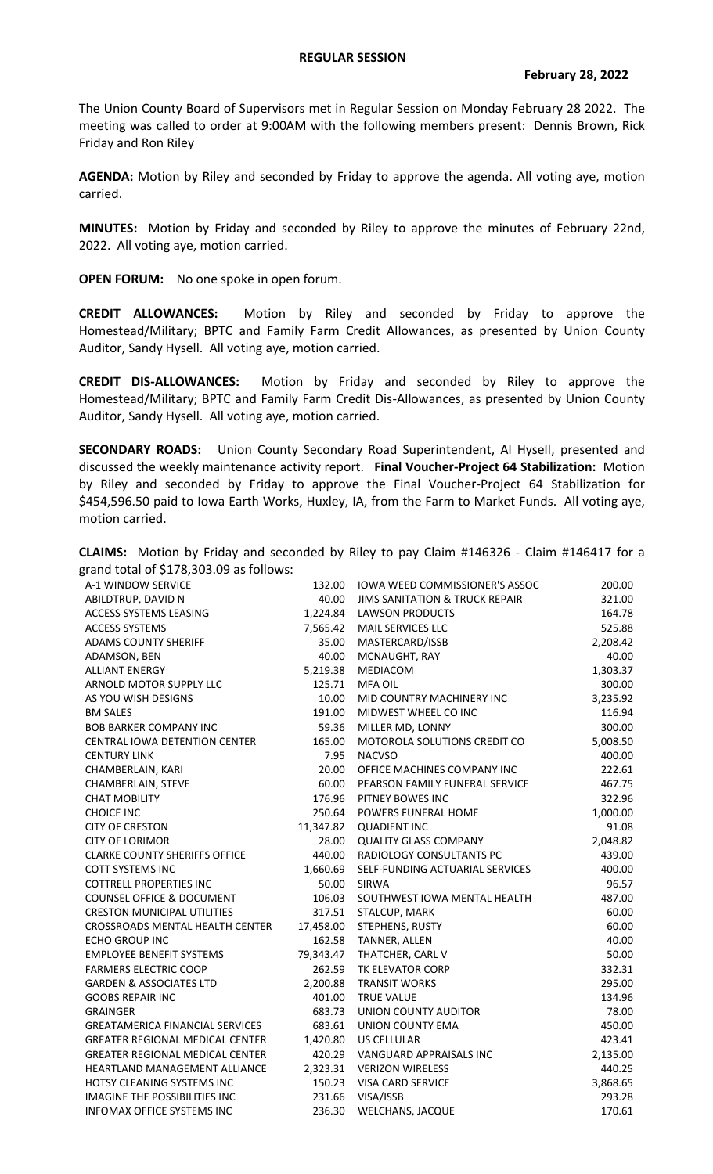The Union County Board of Supervisors met in Regular Session on Monday February 28 2022. The meeting was called to order at 9:00AM with the following members present: Dennis Brown, Rick Friday and Ron Riley

**AGENDA:** Motion by Riley and seconded by Friday to approve the agenda. All voting aye, motion carried.

**MINUTES:** Motion by Friday and seconded by Riley to approve the minutes of February 22nd, 2022. All voting aye, motion carried.

**OPEN FORUM:** No one spoke in open forum.

**CREDIT ALLOWANCES:** Motion by Riley and seconded by Friday to approve the Homestead/Military; BPTC and Family Farm Credit Allowances, as presented by Union County Auditor, Sandy Hysell. All voting aye, motion carried.

**CREDIT DIS-ALLOWANCES:** Motion by Friday and seconded by Riley to approve the Homestead/Military; BPTC and Family Farm Credit Dis-Allowances, as presented by Union County Auditor, Sandy Hysell. All voting aye, motion carried.

**SECONDARY ROADS:** Union County Secondary Road Superintendent, Al Hysell, presented and discussed the weekly maintenance activity report. **Final Voucher-Project 64 Stabilization:** Motion by Riley and seconded by Friday to approve the Final Voucher-Project 64 Stabilization for \$454,596.50 paid to Iowa Earth Works, Huxley, IA, from the Farm to Market Funds. All voting aye, motion carried.

|  |                                         | <b>CLAIMS:</b> Motion by Friday and seconded by Riley to pay Claim #146326 - Claim #146417 for a |  |  |  |  |  |  |
|--|-----------------------------------------|--------------------------------------------------------------------------------------------------|--|--|--|--|--|--|
|  | grand total of \$178,303.09 as follows: |                                                                                                  |  |  |  |  |  |  |

| A-1 WINDOW SERVICE                     | 132.00    | IOWA WEED COMMISSIONER'S ASSOC            | 200.00   |
|----------------------------------------|-----------|-------------------------------------------|----------|
| ABILDTRUP, DAVID N                     | 40.00     | <b>JIMS SANITATION &amp; TRUCK REPAIR</b> | 321.00   |
| ACCESS SYSTEMS LEASING                 | 1,224.84  | <b>LAWSON PRODUCTS</b>                    | 164.78   |
| <b>ACCESS SYSTEMS</b>                  | 7,565.42  | MAIL SERVICES LLC                         | 525.88   |
| <b>ADAMS COUNTY SHERIFF</b>            | 35.00     | MASTERCARD/ISSB                           | 2,208.42 |
| ADAMSON, BEN                           | 40.00     | MCNAUGHT, RAY                             | 40.00    |
| <b>ALLIANT ENERGY</b>                  | 5,219.38  | <b>MEDIACOM</b>                           | 1,303.37 |
| ARNOLD MOTOR SUPPLY LLC                | 125.71    | <b>MFA OIL</b>                            | 300.00   |
| AS YOU WISH DESIGNS                    | 10.00     | MID COUNTRY MACHINERY INC                 | 3,235.92 |
| <b>BM SALES</b>                        | 191.00    | MIDWEST WHEEL CO INC                      | 116.94   |
| <b>BOB BARKER COMPANY INC</b>          | 59.36     | MILLER MD, LONNY                          | 300.00   |
| <b>CENTRAL IOWA DETENTION CENTER</b>   | 165.00    | MOTOROLA SOLUTIONS CREDIT CO              | 5,008.50 |
| <b>CENTURY LINK</b>                    | 7.95      | <b>NACVSO</b>                             | 400.00   |
| CHAMBERLAIN, KARI                      | 20.00     | OFFICE MACHINES COMPANY INC               | 222.61   |
| CHAMBERLAIN, STEVE                     | 60.00     | PEARSON FAMILY FUNERAL SERVICE            | 467.75   |
| <b>CHAT MOBILITY</b>                   | 176.96    | PITNEY BOWES INC                          | 322.96   |
| <b>CHOICE INC</b>                      | 250.64    | POWERS FUNERAL HOME                       | 1,000.00 |
| <b>CITY OF CRESTON</b>                 |           | 11,347.82 QUADIENT INC                    | 91.08    |
| <b>CITY OF LORIMOR</b>                 | 28.00     | <b>QUALITY GLASS COMPANY</b>              | 2,048.82 |
| <b>CLARKE COUNTY SHERIFFS OFFICE</b>   | 440.00    | RADIOLOGY CONSULTANTS PC                  | 439.00   |
| COTT SYSTEMS INC                       | 1,660.69  | SELF-FUNDING ACTUARIAL SERVICES           | 400.00   |
| <b>COTTRELL PROPERTIES INC</b>         | 50.00     | <b>SIRWA</b>                              | 96.57    |
| <b>COUNSEL OFFICE &amp; DOCUMENT</b>   | 106.03    | SOUTHWEST IOWA MENTAL HEALTH              | 487.00   |
| <b>CRESTON MUNICIPAL UTILITIES</b>     |           | 317.51 STALCUP, MARK                      | 60.00    |
| CROSSROADS MENTAL HEALTH CENTER        | 17,458.00 | STEPHENS, RUSTY                           | 60.00    |
| <b>ECHO GROUP INC</b>                  | 162.58    | <b>TANNER, ALLEN</b>                      | 40.00    |
| <b>EMPLOYEE BENEFIT SYSTEMS</b>        | 79,343.47 | THATCHER, CARL V                          | 50.00    |
| <b>FARMERS ELECTRIC COOP</b>           | 262.59    | TK ELEVATOR CORP                          | 332.31   |
| <b>GARDEN &amp; ASSOCIATES LTD</b>     | 2,200.88  | <b>TRANSIT WORKS</b>                      | 295.00   |
| <b>GOOBS REPAIR INC</b>                | 401.00    | <b>TRUE VALUE</b>                         | 134.96   |
| <b>GRAINGER</b>                        | 683.73    | UNION COUNTY AUDITOR                      | 78.00    |
| <b>GREATAMERICA FINANCIAL SERVICES</b> | 683.61    | UNION COUNTY EMA                          | 450.00   |
| <b>GREATER REGIONAL MEDICAL CENTER</b> | 1,420.80  | US CELLULAR                               | 423.41   |
| <b>GREATER REGIONAL MEDICAL CENTER</b> | 420.29    | VANGUARD APPRAISALS INC                   | 2,135.00 |
| HEARTLAND MANAGEMENT ALLIANCE          |           | 2,323.31 VERIZON WIRELESS                 | 440.25   |
| HOTSY CLEANING SYSTEMS INC             | 150.23    | VISA CARD SERVICE                         | 3,868.65 |
| IMAGINE THE POSSIBILITIES INC          |           | 231.66 VISA/ISSB                          | 293.28   |
| INFOMAX OFFICE SYSTEMS INC             | 236.30    | WELCHANS, JACQUE                          | 170.61   |